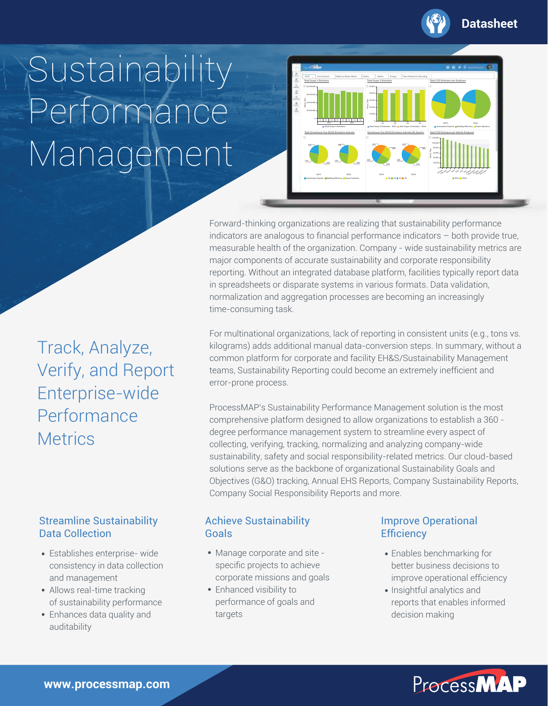

#### **Datasheet**

# **Sustainability** Performance Management



Forward-thinking organizations are realizing that sustainability performance indicators are analogous to financial performance indicators – both provide true, measurable health of the organization. Company - wide sustainability metrics are major components of accurate sustainability and corporate responsibility reporting. Without an integrated database platform, facilities typically report data in spreadsheets or disparate systems in various formats. Data validation, normalization and aggregation processes are becoming an increasingly time-consuming task.

For multinational organizations, lack of reporting in consistent units (e.g., tons vs. kilograms) adds additional manual data-conversion steps. In summary, without a common platform for corporate and facility EH&S/Sustainability Management teams, Sustainability Reporting could become an extremely inefficient and error-prone process.

ProcessMAP's Sustainability Performance Management solution is the most comprehensive platform designed to allow organizations to establish a 360 degree performance management system to streamline every aspect of collecting, verifying, tracking, normalizing and analyzing company-wide sustainability, safety and social responsibility-related metrics. Our cloud-based solutions serve as the backbone of organizational Sustainability Goals and Objectives (G&O) tracking, Annual EHS Reports, Company Sustainability Reports, Company Social Responsibility Reports and more.

#### Achieve Sustainability Goals

- Manage corporate and site specific projects to achieve corporate missions and goals
- Enhanced visibility to performance of goals and targets

#### Improve Operational **Efficiency**

- Enables benchmarking for better business decisions to improve operational efficiency
- Insightful analytics and reports that enables informed decision making



Track, Analyze, Verify, and Report Enterprise-wide Performance **Metrics** 

#### Streamline Sustainability Data Collection

- Establishes enterprise- wide consistency in data collection and management
- Allows real-time tracking of sustainability performance
- Enhances data quality and auditability